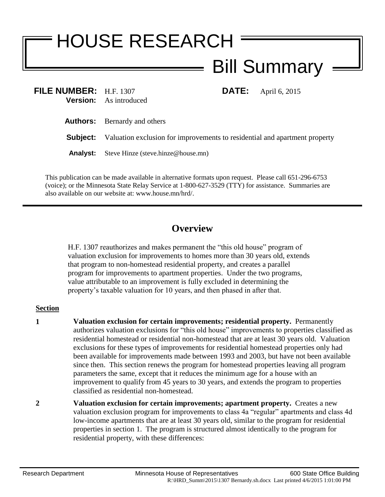## HOUSE RESEARCH Bill Summary

| FILE NUMBER: H.F. 1307 | <b>Version:</b> As introduced                                                              |  | <b>DATE:</b> April 6, 2015 |
|------------------------|--------------------------------------------------------------------------------------------|--|----------------------------|
|                        | <b>Authors:</b> Bernardy and others                                                        |  |                            |
|                        | <b>Subject:</b> Valuation exclusion for improvements to residential and apartment property |  |                            |
| <b>Analyst:</b>        | Steve Hinze (steve.hinze@house.mn)                                                         |  |                            |
|                        |                                                                                            |  |                            |

This publication can be made available in alternative formats upon request. Please call 651-296-6753 (voice); or the Minnesota State Relay Service at 1-800-627-3529 (TTY) for assistance. Summaries are also available on our website at: www.house.mn/hrd/.

## **Overview**

H.F. 1307 reauthorizes and makes permanent the "this old house" program of valuation exclusion for improvements to homes more than 30 years old, extends that program to non-homestead residential property, and creates a parallel program for improvements to apartment properties. Under the two programs, value attributable to an improvement is fully excluded in determining the property's taxable valuation for 10 years, and then phased in after that.

## **Section**

- **1 Valuation exclusion for certain improvements; residential property.** Permanently authorizes valuation exclusions for "this old house" improvements to properties classified as residential homestead or residential non-homestead that are at least 30 years old. Valuation exclusions for these types of improvements for residential homestead properties only had been available for improvements made between 1993 and 2003, but have not been available since then. This section renews the program for homestead properties leaving all program parameters the same, except that it reduces the minimum age for a house with an improvement to qualify from 45 years to 30 years, and extends the program to properties classified as residential non-homestead.
- **2 Valuation exclusion for certain improvements; apartment property.** Creates a new valuation exclusion program for improvements to class 4a "regular" apartments and class 4d low-income apartments that are at least 30 years old, similar to the program for residential properties in section 1. The program is structured almost identically to the program for residential property, with these differences: